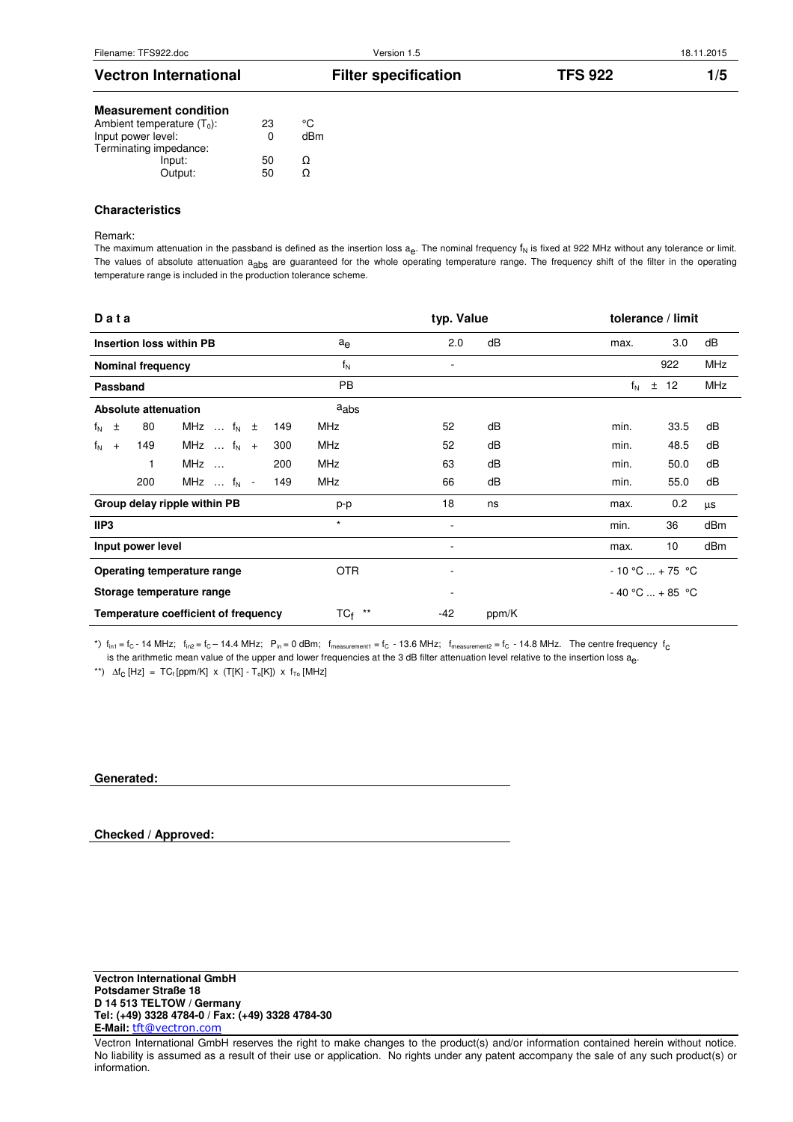| <b>Vectron International</b>                 |          |     | <b>Filter specification</b> | <b>TFS 922</b> | 1/5 |
|----------------------------------------------|----------|-----|-----------------------------|----------------|-----|
| <b>Measurement condition</b>                 |          |     |                             |                |     |
| Ambient temperature $(T_0)$ :                | 23       | °C  |                             |                |     |
| Input power level:<br>Terminating impedance: | $\Omega$ | dBm |                             |                |     |
| Input:                                       | 50       | Ω   |                             |                |     |
| Output:                                      | 50       | Ω   |                             |                |     |

## **Characteristics**

### Remark:

The maximum attenuation in the passband is defined as the insertion loss a<sub>e</sub>. The nominal frequency  $f_N$  is fixed at 922 MHz without any tolerance or limit. The values of absolute attenuation a<sub>abs</sub> are guaranteed for the whole operating temperature range. The frequency shift of the filter in the operating temperature range is included in the production tolerance scheme.

| Data                                 |                                   |     |              | typ. Value               |       | tolerance / limit |      |            |
|--------------------------------------|-----------------------------------|-----|--------------|--------------------------|-------|-------------------|------|------------|
| <b>Insertion loss within PB</b>      |                                   |     | $a_e$        | 2.0                      | dB    | max.              | 3.0  | dB         |
| <b>Nominal frequency</b>             |                                   |     | $f_N$        |                          |       |                   | 922  | <b>MHz</b> |
| Passband                             |                                   |     | <b>PB</b>    |                          |       | $f_N$<br>$\pm$    | 12   | <b>MHz</b> |
| Absolute attenuation                 |                                   |     | aabs         |                          |       |                   |      |            |
| 80<br>$f_N$ $\pm$                    | MHz $\ldots$ f <sub>N</sub> $\pm$ | 149 | <b>MHz</b>   | 52                       | dB    | min.              | 33.5 | dB         |
| 149<br>$f_N$ +                       | MHz $\ldots$ f <sub>N</sub> +     | 300 | <b>MHz</b>   | 52                       | dB    | min.              | 48.5 | dB         |
| 1                                    | MHz                               | 200 | <b>MHz</b>   | 63                       | dB    | min.              | 50.0 | dB         |
| 200                                  | MHz $\ldots$ f <sub>N</sub> -     | 149 | <b>MHz</b>   | 66                       | dB    | min.              | 55.0 | dB         |
| Group delay ripple within PB         |                                   |     | p-p          | 18                       | ns    | max.              | 0.2  | μs         |
| IIP3                                 |                                   |     | $\star$      | $\overline{a}$           |       | min.              | 36   | dBm        |
| Input power level                    |                                   |     |              | ٠                        |       | max.              | 10   | dBm        |
| Operating temperature range          |                                   |     | OTR.         | $\overline{\phantom{a}}$ |       | $-10 °C  + 75 °C$ |      |            |
| Storage temperature range            |                                   |     |              |                          |       | $-40 °C  + 85 °C$ |      |            |
| Temperature coefficient of frequency |                                   |     | $***$<br>TCf | $-42$                    | ppm/K |                   |      |            |

\*)  $f_{\text{in1}} = f_C - 14 \text{ MHz}$ ;  $f_{\text{in2}} = f_C - 14.4 \text{ MHz}$ ;  $P_{\text{in}} = 0 \text{ dBm}$ ;  $f_{\text{measurement1}} = f_C - 13.6 \text{ MHz}$ ;  $f_{\text{measurement2}} = f_C - 14.8 \text{ MHz}$ . The centre frequency  $f_C$ is the arithmetic mean value of the upper and lower frequencies at the 3 dB filter attenuation level relative to the insertion loss a<sub>e</sub>.

\*\*)  $\Delta f_C$  [Hz] = TC<sub>f</sub> [ppm/K] x (T[K] - T<sub>o</sub>[K]) x f<sub>To</sub> [MHz]

## **Generated:**

# **Checked / Approved:**

Vectron International GmbH reserves the right to make changes to the product(s) and/or information contained herein without notice. No liability is assumed as a result of their use or application. No rights under any patent accompany the sale of any such product(s) or information.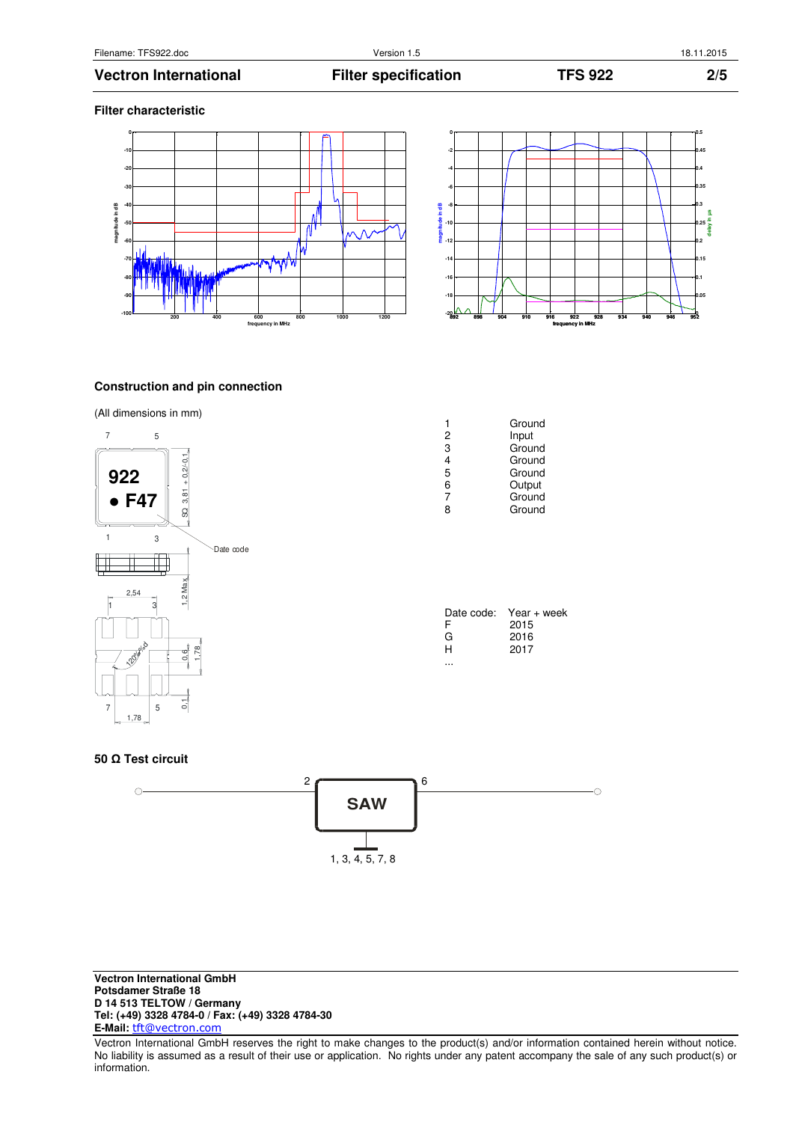### **Filter characteristic**





# **Construction and pin connection**

# (All dimensions in mm)



|   | Ground |
|---|--------|
| 2 | Input  |
| 3 | Ground |
| 4 | Ground |
| 5 | Ground |
| 6 | Output |
| 7 | Ground |
| 8 | Ground |
|   |        |
|   |        |

| Date code: | Year + week |
|------------|-------------|
| F          | 2015        |
| G          | 2016        |
| н          | 2017        |
|            |             |

#### **50 Ω Test circuit**



Vectron International GmbH reserves the right to make changes to the product(s) and/or information contained herein without notice. No liability is assumed as a result of their use or application. No rights under any patent accompany the sale of any such product(s) or information.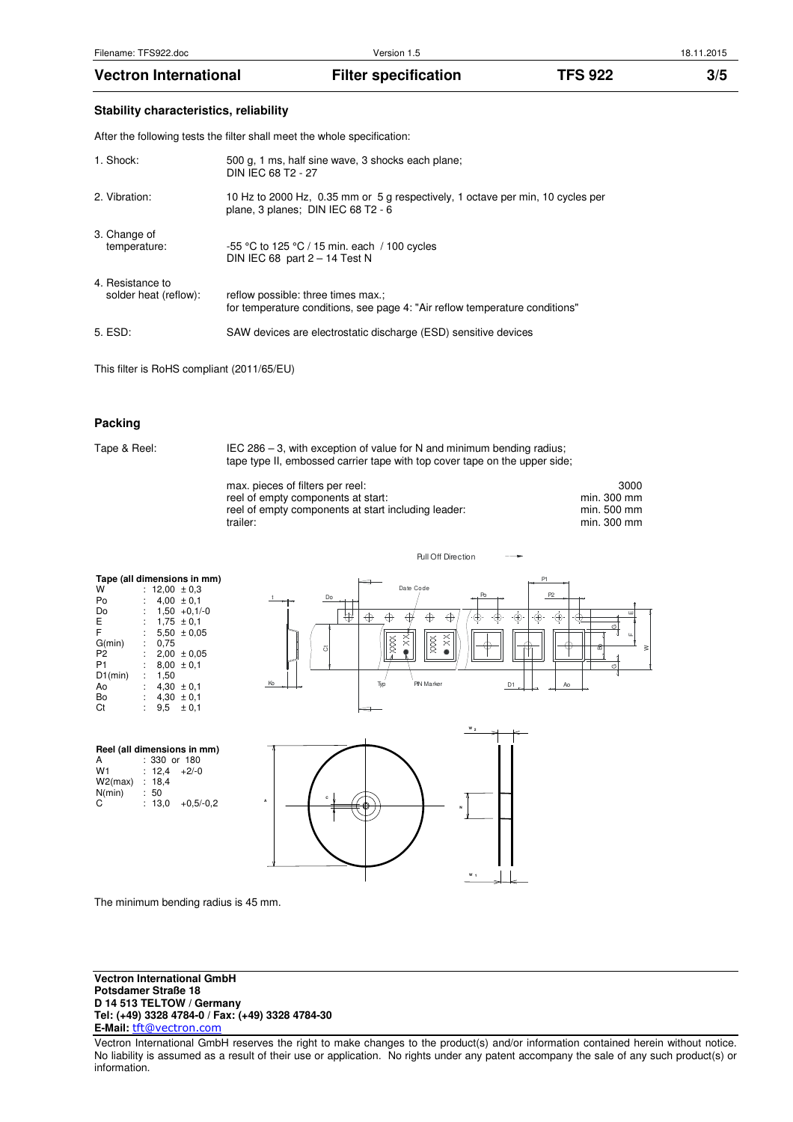**Stability characteristics, reliability** 

After the following tests the filter shall meet the whole specification:

| 1. Shock:                                 | 500 g. 1 ms, half sine wave, 3 shocks each plane;<br>DIN IEC 68 T2 - 27                                              |
|-------------------------------------------|----------------------------------------------------------------------------------------------------------------------|
| 2. Vibration:                             | 10 Hz to 2000 Hz, 0.35 mm or 5 g respectively, 1 octave per min, 10 cycles per<br>plane, 3 planes; DIN IEC 68 T2 - 6 |
| 3. Change of<br>temperature:              | -55 °C to 125 °C / 15 min. each / 100 cycles<br>DIN IEC 68 part $2 - 14$ Test N                                      |
| 4. Resistance to<br>solder heat (reflow): | reflow possible: three times max.;<br>for temperature conditions, see page 4: "Air reflow temperature conditions"    |
| 5. ESD:                                   | SAW devices are electrostatic discharge (ESD) sensitive devices                                                      |

This filter is RoHS compliant (2011/65/EU)

# **Packing**

| Tape & Reel: | IEC 286 – 3, with exception of value for N and minimum bending radius;<br>tape type II, embossed carrier tape with top cover tape on the upper side; |                                                   |  |  |
|--------------|------------------------------------------------------------------------------------------------------------------------------------------------------|---------------------------------------------------|--|--|
|              | max. pieces of filters per reel:<br>reel of empty components at start:<br>reel of empty components at start including leader:<br>trailer:            | 3000<br>min. 300 mm<br>min. 500 mm<br>min. 300 mm |  |  |

 $C<sub>t</sub>$ **Tape (all dimensions in mm)**<br>
W :  $12,00 \pm 0,3$ W :  $12,00 \pm 0,3$ Po : 4,00 ± 0,1  $\overline{D}$  : 1,50 +0,1/-0<br>
E : 1,75 ± 0,1<br>
F : 5,50 ± 0,05  $1,75 \pm 0.1$  $5,50 \pm 0,05$ <br>0,75 G(min)<br>P2 P2 :  $2,00 \pm 0,05$ <br>P1 :  $8,00 \pm 0,1$  $\begin{array}{c} 8,00 \pm 0,1 \\ 1,50 \end{array}$  $D1(min)$ Ao :  $4,30 \pm 0,1$ <br>Bo :  $4,30 \pm 0,1$  $\begin{array}{r} 4,30 \pm 0,1 \\ 9,5 \pm 0,1 \end{array}$  $9,5 \pm 0,1$ 





Pull Off Direction



The minimum bending radius is 45 mm.

**Vectron International GmbH Potsdamer Straße 18 D 14 513 TELTOW / Germany Tel: (+49) 3328 4784-0 / Fax: (+49) 3328 4784-30 E-Mail:** tft@vectron.com

Vectron International GmbH reserves the right to make changes to the product(s) and/or information contained herein without notice. No liability is assumed as a result of their use or application. No rights under any patent accompany the sale of any such product(s) or information.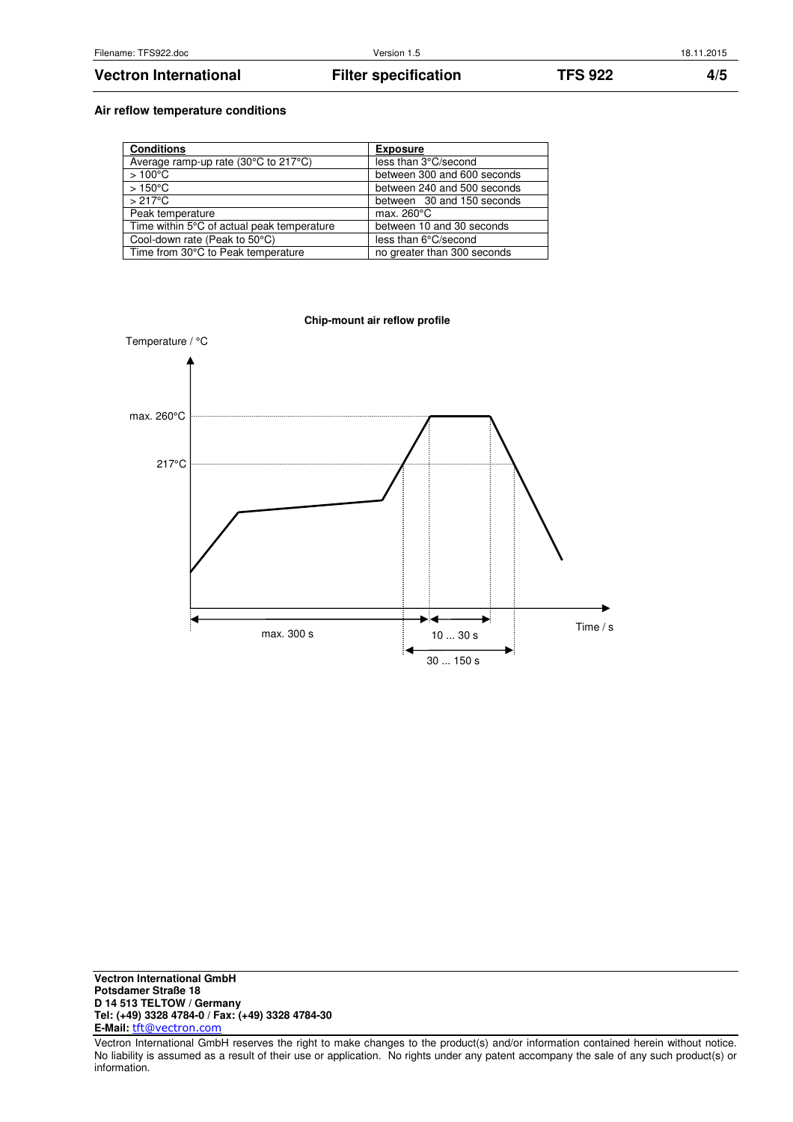# **Air reflow temperature conditions**

| <b>Conditions</b>                          | <b>Exposure</b>             |
|--------------------------------------------|-----------------------------|
| Average ramp-up rate (30°C to 217°C)       | less than 3°C/second        |
| $>100^{\circ}$ C                           | between 300 and 600 seconds |
| $>150^{\circ}$ C                           | between 240 and 500 seconds |
| $>217^{\circ}$ C                           | between 30 and 150 seconds  |
| Peak temperature                           | max. $260^{\circ}$ C        |
| Time within 5°C of actual peak temperature | between 10 and 30 seconds   |
| Cool-down rate (Peak to 50°C)              | less than 6°C/second        |
| Time from 30°C to Peak temperature         | no greater than 300 seconds |



Vectron International GmbH reserves the right to make changes to the product(s) and/or information contained herein without notice. No liability is assumed as a result of their use or application. No rights under any patent accompany the sale of any such product(s) or information.